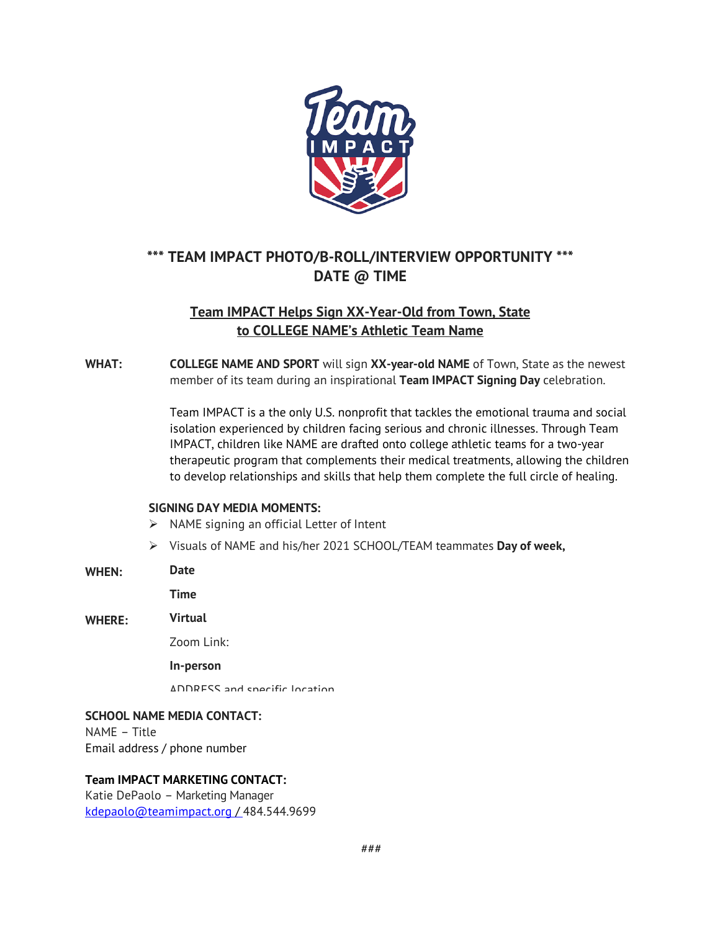

# **\*\*\* TEAM IMPACT PHOTO/B-ROLL/INTERVIEW OPPORTUNITY \*\*\* DATE @ TIME**

## **Team IMPACT Helps Sign XX-Year-Old from Town, State to COLLEGE NAME's Athletic Team Name**

**WHAT: COLLEGE NAME AND SPORT** will sign **XX-year-old NAME** of Town, State as the newest member of its team during an inspirational **Team IMPACT Signing Day** celebration.

> Team IMPACT is a the only U.S. nonprofit that tackles the emotional trauma and social isolation experienced by children facing serious and chronic illnesses. Through Team IMPACT, children like NAME are drafted onto college athletic teams for a two-year therapeutic program that complements their medical treatments, allowing the children to develop relationships and skills that help them complete the full circle of healing.

### **SIGNING DAY MEDIA MOMENTS:**

- $\triangleright$  NAME signing an official Letter of Intent
- Ø Visuals of NAME and his/her 2021 SCHOOL/TEAM teammates **Day of week,**

| WHEN: | Date |
|-------|------|
|-------|------|

**Time**

**WHERE: Virtual**

Zoom Link:

**In-person**

ADDRESS and specific location

# **SCHOOL NAME MEDIA CONTACT:**

NAME – Title Email address / phone number

### **Team IMPACT MARKETING CONTACT:**

Katie DePaolo – Marketing Manager kdepaolo@teamimpact.org / 484.544.9699